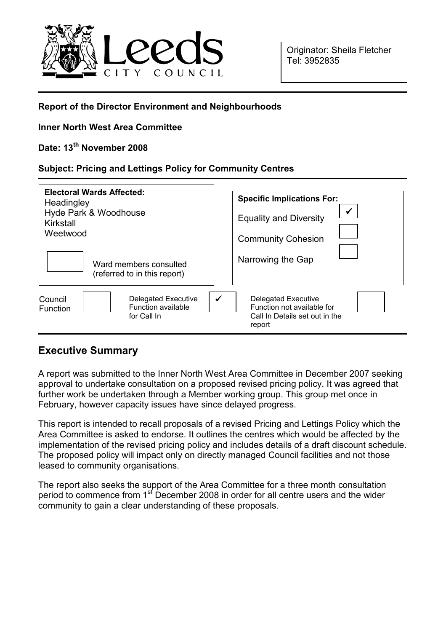

### Report of the Director Environment and Neighbourhoods

### Inner North West Area Committee

# Date: 13<sup>th</sup> November 2008

#### Subject: Pricing and Lettings Policy for Community Centres

| <b>Electoral Wards Affected:</b><br>Headingley<br>Hyde Park & Woodhouse<br>Kirkstall<br>Weetwood<br>Ward members consulted<br>(referred to in this report) | <b>Specific Implications For:</b><br><b>Equality and Diversity</b><br><b>Community Cohesion</b><br>Narrowing the Gap |
|------------------------------------------------------------------------------------------------------------------------------------------------------------|----------------------------------------------------------------------------------------------------------------------|
| Delegated Executive                                                                                                                                        | $\checkmark$                                                                                                         |
| Council                                                                                                                                                    | <b>Delegated Executive</b>                                                                                           |
| <b>Function available</b>                                                                                                                                  | Function not available for                                                                                           |
| <b>Function</b>                                                                                                                                            | Call In Details set out in the                                                                                       |
| for Call In                                                                                                                                                | report                                                                                                               |

# Executive Summary

A report was submitted to the Inner North West Area Committee in December 2007 seeking approval to undertake consultation on a proposed revised pricing policy. It was agreed that further work be undertaken through a Member working group. This group met once in February, however capacity issues have since delayed progress.

This report is intended to recall proposals of a revised Pricing and Lettings Policy which the Area Committee is asked to endorse. It outlines the centres which would be affected by the implementation of the revised pricing policy and includes details of a draft discount schedule. The proposed policy will impact only on directly managed Council facilities and not those leased to community organisations.

The report also seeks the support of the Area Committee for a three month consultation period to commence from 1<sup>st</sup> December 2008 in order for all centre users and the wider community to gain a clear understanding of these proposals.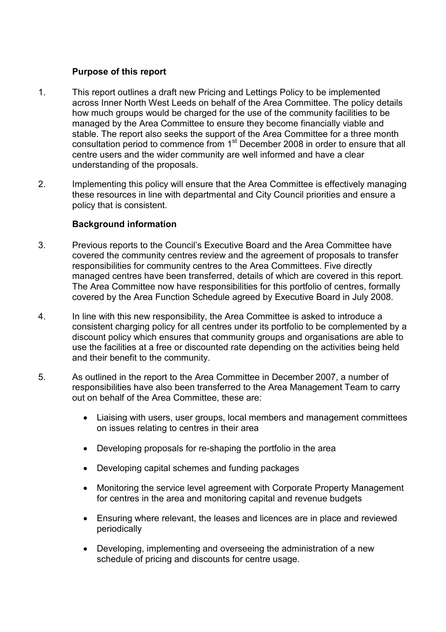# Purpose of this report

- 1. This report outlines a draft new Pricing and Lettings Policy to be implemented across Inner North West Leeds on behalf of the Area Committee. The policy details how much groups would be charged for the use of the community facilities to be managed by the Area Committee to ensure they become financially viable and stable. The report also seeks the support of the Area Committee for a three month consultation period to commence from 1<sup>st</sup> December 2008 in order to ensure that all centre users and the wider community are well informed and have a clear understanding of the proposals.
- 2. Implementing this policy will ensure that the Area Committee is effectively managing these resources in line with departmental and City Council priorities and ensure a policy that is consistent.

### Background information

- 3. Previous reports to the Council's Executive Board and the Area Committee have covered the community centres review and the agreement of proposals to transfer responsibilities for community centres to the Area Committees. Five directly managed centres have been transferred, details of which are covered in this report. The Area Committee now have responsibilities for this portfolio of centres, formally covered by the Area Function Schedule agreed by Executive Board in July 2008.
- 4. In line with this new responsibility, the Area Committee is asked to introduce a consistent charging policy for all centres under its portfolio to be complemented by a discount policy which ensures that community groups and organisations are able to use the facilities at a free or discounted rate depending on the activities being held and their benefit to the community.
- 5. As outlined in the report to the Area Committee in December 2007, a number of responsibilities have also been transferred to the Area Management Team to carry out on behalf of the Area Committee, these are:
	- Liaising with users, user groups, local members and management committees on issues relating to centres in their area
	- Developing proposals for re-shaping the portfolio in the area
	- Developing capital schemes and funding packages
	- Monitoring the service level agreement with Corporate Property Management for centres in the area and monitoring capital and revenue budgets
	- Ensuring where relevant, the leases and licences are in place and reviewed periodically
	- Developing, implementing and overseeing the administration of a new schedule of pricing and discounts for centre usage.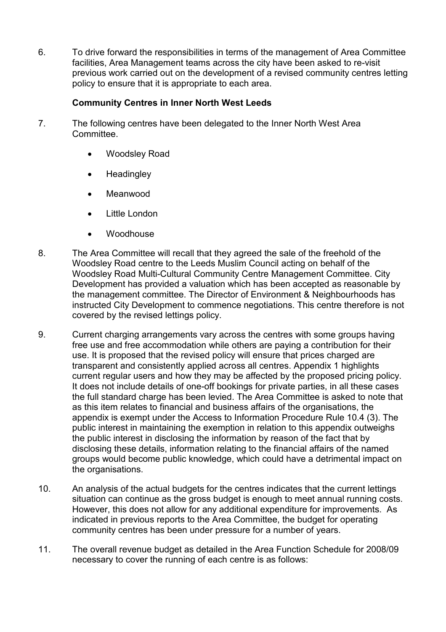6. To drive forward the responsibilities in terms of the management of Area Committee facilities, Area Management teams across the city have been asked to re-visit previous work carried out on the development of a revised community centres letting policy to ensure that it is appropriate to each area.

# Community Centres in Inner North West Leeds

- 7. The following centres have been delegated to the Inner North West Area Committee.
	- Woodsley Road
	- Headingley
	- **Meanwood**
	- Little London
	- **Woodhouse**
- 8. The Area Committee will recall that they agreed the sale of the freehold of the Woodsley Road centre to the Leeds Muslim Council acting on behalf of the Woodsley Road Multi-Cultural Community Centre Management Committee. City Development has provided a valuation which has been accepted as reasonable by the management committee. The Director of Environment & Neighbourhoods has instructed City Development to commence negotiations. This centre therefore is not covered by the revised lettings policy.
- 9. Current charging arrangements vary across the centres with some groups having free use and free accommodation while others are paying a contribution for their use. It is proposed that the revised policy will ensure that prices charged are transparent and consistently applied across all centres. Appendix 1 highlights current regular users and how they may be affected by the proposed pricing policy. It does not include details of one-off bookings for private parties, in all these cases the full standard charge has been levied. The Area Committee is asked to note that as this item relates to financial and business affairs of the organisations, the appendix is exempt under the Access to Information Procedure Rule 10.4 (3). The public interest in maintaining the exemption in relation to this appendix outweighs the public interest in disclosing the information by reason of the fact that by disclosing these details, information relating to the financial affairs of the named groups would become public knowledge, which could have a detrimental impact on the organisations.
- 10. An analysis of the actual budgets for the centres indicates that the current lettings situation can continue as the gross budget is enough to meet annual running costs. However, this does not allow for any additional expenditure for improvements. As indicated in previous reports to the Area Committee, the budget for operating community centres has been under pressure for a number of years.
- 11. The overall revenue budget as detailed in the Area Function Schedule for 2008/09 necessary to cover the running of each centre is as follows: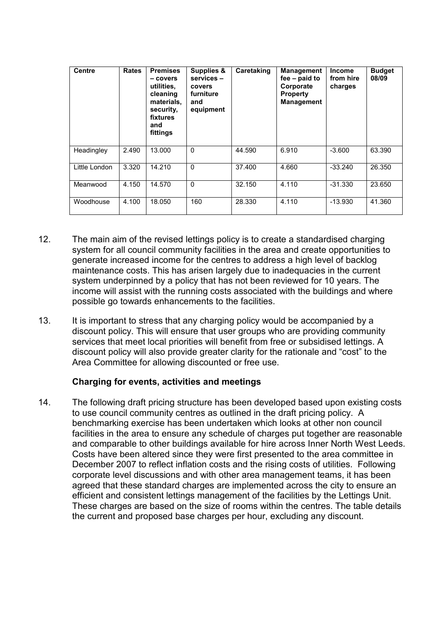| <b>Centre</b> | <b>Rates</b> | <b>Premises</b><br>– covers<br>utilities.<br>cleaning<br>materials,<br>security,<br>fixtures<br>and<br>fittings | Supplies &<br>services -<br>covers<br>furniture<br>and<br>equipment | Caretaking | <b>Management</b><br>$fee - paid to$<br>Corporate<br><b>Property</b><br><b>Management</b> | Income<br>from hire<br>charges | <b>Budget</b><br>08/09 |
|---------------|--------------|-----------------------------------------------------------------------------------------------------------------|---------------------------------------------------------------------|------------|-------------------------------------------------------------------------------------------|--------------------------------|------------------------|
| Headingley    | 2.490        | 13.000                                                                                                          | $\Omega$                                                            | 44.590     | 6.910                                                                                     | $-3.600$                       | 63.390                 |
| Little London | 3.320        | 14.210                                                                                                          | $\Omega$                                                            | 37.400     | 4.660                                                                                     | $-33.240$                      | 26.350                 |
| Meanwood      | 4.150        | 14.570                                                                                                          | $\Omega$                                                            | 32.150     | 4.110                                                                                     | $-31.330$                      | 23.650                 |
| Woodhouse     | 4.100        | 18.050                                                                                                          | 160                                                                 | 28.330     | 4.110                                                                                     | $-13.930$                      | 41.360                 |

- 12. The main aim of the revised lettings policy is to create a standardised charging system for all council community facilities in the area and create opportunities to generate increased income for the centres to address a high level of backlog maintenance costs. This has arisen largely due to inadequacies in the current system underpinned by a policy that has not been reviewed for 10 years. The income will assist with the running costs associated with the buildings and where possible go towards enhancements to the facilities.
- 13. It is important to stress that any charging policy would be accompanied by a discount policy. This will ensure that user groups who are providing community services that meet local priorities will benefit from free or subsidised lettings. A discount policy will also provide greater clarity for the rationale and "cost" to the Area Committee for allowing discounted or free use.

#### Charging for events, activities and meetings

14. The following draft pricing structure has been developed based upon existing costs to use council community centres as outlined in the draft pricing policy. A benchmarking exercise has been undertaken which looks at other non council facilities in the area to ensure any schedule of charges put together are reasonable and comparable to other buildings available for hire across Inner North West Leeds. Costs have been altered since they were first presented to the area committee in December 2007 to reflect inflation costs and the rising costs of utilities. Following corporate level discussions and with other area management teams, it has been agreed that these standard charges are implemented across the city to ensure an efficient and consistent lettings management of the facilities by the Lettings Unit. These charges are based on the size of rooms within the centres. The table details the current and proposed base charges per hour, excluding any discount.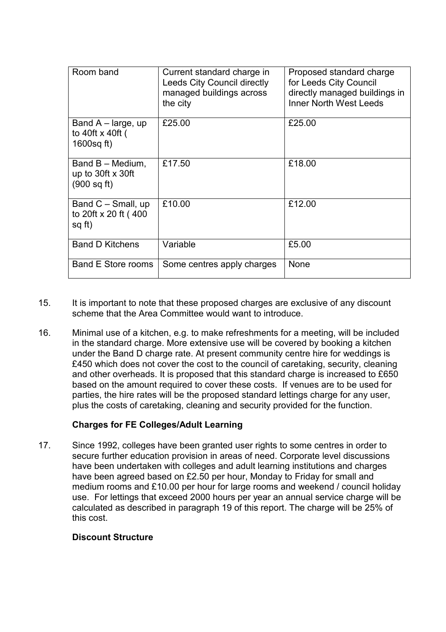| Room band                                                             | Current standard charge in<br><b>Leeds City Council directly</b><br>managed buildings across<br>the city | Proposed standard charge<br>for Leeds City Council<br>directly managed buildings in<br><b>Inner North West Leeds</b> |
|-----------------------------------------------------------------------|----------------------------------------------------------------------------------------------------------|----------------------------------------------------------------------------------------------------------------------|
| Band $A$ – large, up<br>to 40ft x 40ft (<br>1600sq ft)                | £25.00                                                                                                   | £25.00                                                                                                               |
| Band B - Medium,<br>up to 30ft $\times$ 30ft<br>$(900 \text{ sq ft})$ | £17.50                                                                                                   | £18.00                                                                                                               |
| Band $C - S$ mall, up<br>to 20ft x 20 ft (400<br>sq ft)               | £10.00                                                                                                   | £12.00                                                                                                               |
| <b>Band D Kitchens</b>                                                | Variable                                                                                                 | £5.00                                                                                                                |
| Band E Store rooms                                                    | Some centres apply charges                                                                               | None                                                                                                                 |

- 15. It is important to note that these proposed charges are exclusive of any discount scheme that the Area Committee would want to introduce.
- 16. Minimal use of a kitchen, e.g. to make refreshments for a meeting, will be included in the standard charge. More extensive use will be covered by booking a kitchen under the Band D charge rate. At present community centre hire for weddings is £450 which does not cover the cost to the council of caretaking, security, cleaning and other overheads. It is proposed that this standard charge is increased to £650 based on the amount required to cover these costs. If venues are to be used for parties, the hire rates will be the proposed standard lettings charge for any user, plus the costs of caretaking, cleaning and security provided for the function.

# Charges for FE Colleges/Adult Learning

17. Since 1992, colleges have been granted user rights to some centres in order to secure further education provision in areas of need. Corporate level discussions have been undertaken with colleges and adult learning institutions and charges have been agreed based on £2.50 per hour, Monday to Friday for small and medium rooms and £10.00 per hour for large rooms and weekend / council holiday use. For lettings that exceed 2000 hours per year an annual service charge will be calculated as described in paragraph 19 of this report. The charge will be 25% of this cost.

# Discount Structure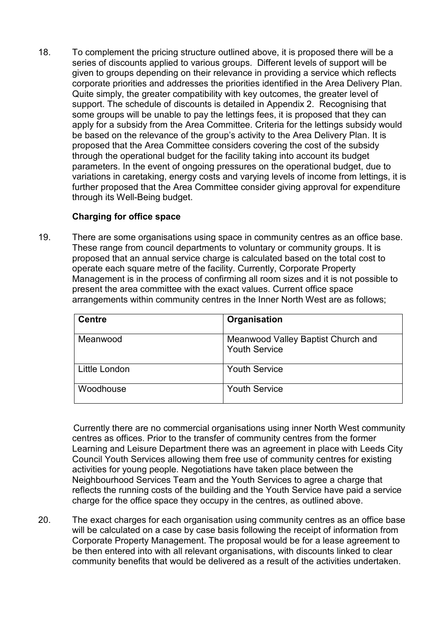18. To complement the pricing structure outlined above, it is proposed there will be a series of discounts applied to various groups. Different levels of support will be given to groups depending on their relevance in providing a service which reflects corporate priorities and addresses the priorities identified in the Area Delivery Plan. Quite simply, the greater compatibility with key outcomes, the greater level of support. The schedule of discounts is detailed in Appendix 2. Recognising that some groups will be unable to pay the lettings fees, it is proposed that they can apply for a subsidy from the Area Committee. Criteria for the lettings subsidy would be based on the relevance of the group's activity to the Area Delivery Plan. It is proposed that the Area Committee considers covering the cost of the subsidy through the operational budget for the facility taking into account its budget parameters. In the event of ongoing pressures on the operational budget, due to variations in caretaking, energy costs and varying levels of income from lettings, it is further proposed that the Area Committee consider giving approval for expenditure through its Well-Being budget.

### Charging for office space

19. There are some organisations using space in community centres as an office base. These range from council departments to voluntary or community groups. It is proposed that an annual service charge is calculated based on the total cost to operate each square metre of the facility. Currently, Corporate Property Management is in the process of confirming all room sizes and it is not possible to present the area committee with the exact values. Current office space arrangements within community centres in the Inner North West are as follows;

| <b>Centre</b> | Organisation                                               |
|---------------|------------------------------------------------------------|
| Meanwood      | Meanwood Valley Baptist Church and<br><b>Youth Service</b> |
| Little London | <b>Youth Service</b>                                       |
| Woodhouse     | <b>Youth Service</b>                                       |

 Currently there are no commercial organisations using inner North West community centres as offices. Prior to the transfer of community centres from the former Learning and Leisure Department there was an agreement in place with Leeds City Council Youth Services allowing them free use of community centres for existing activities for young people. Negotiations have taken place between the Neighbourhood Services Team and the Youth Services to agree a charge that reflects the running costs of the building and the Youth Service have paid a service charge for the office space they occupy in the centres, as outlined above.

20. The exact charges for each organisation using community centres as an office base will be calculated on a case by case basis following the receipt of information from Corporate Property Management. The proposal would be for a lease agreement to be then entered into with all relevant organisations, with discounts linked to clear community benefits that would be delivered as a result of the activities undertaken.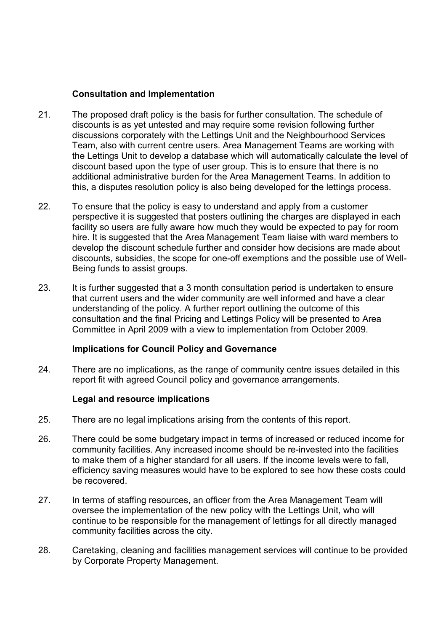### Consultation and Implementation

- 21. The proposed draft policy is the basis for further consultation. The schedule of discounts is as yet untested and may require some revision following further discussions corporately with the Lettings Unit and the Neighbourhood Services Team, also with current centre users. Area Management Teams are working with the Lettings Unit to develop a database which will automatically calculate the level of discount based upon the type of user group. This is to ensure that there is no additional administrative burden for the Area Management Teams. In addition to this, a disputes resolution policy is also being developed for the lettings process.
- 22. To ensure that the policy is easy to understand and apply from a customer perspective it is suggested that posters outlining the charges are displayed in each facility so users are fully aware how much they would be expected to pay for room hire. It is suggested that the Area Management Team liaise with ward members to develop the discount schedule further and consider how decisions are made about discounts, subsidies, the scope for one-off exemptions and the possible use of Well-Being funds to assist groups.
- 23. It is further suggested that a 3 month consultation period is undertaken to ensure that current users and the wider community are well informed and have a clear understanding of the policy. A further report outlining the outcome of this consultation and the final Pricing and Lettings Policy will be presented to Area Committee in April 2009 with a view to implementation from October 2009.

# Implications for Council Policy and Governance

24. There are no implications, as the range of community centre issues detailed in this report fit with agreed Council policy and governance arrangements.

#### Legal and resource implications

- 25. There are no legal implications arising from the contents of this report.
- 26. There could be some budgetary impact in terms of increased or reduced income for community facilities. Any increased income should be re-invested into the facilities to make them of a higher standard for all users. If the income levels were to fall, efficiency saving measures would have to be explored to see how these costs could be recovered.
- 27. In terms of staffing resources, an officer from the Area Management Team will oversee the implementation of the new policy with the Lettings Unit, who will continue to be responsible for the management of lettings for all directly managed community facilities across the city.
- 28. Caretaking, cleaning and facilities management services will continue to be provided by Corporate Property Management.